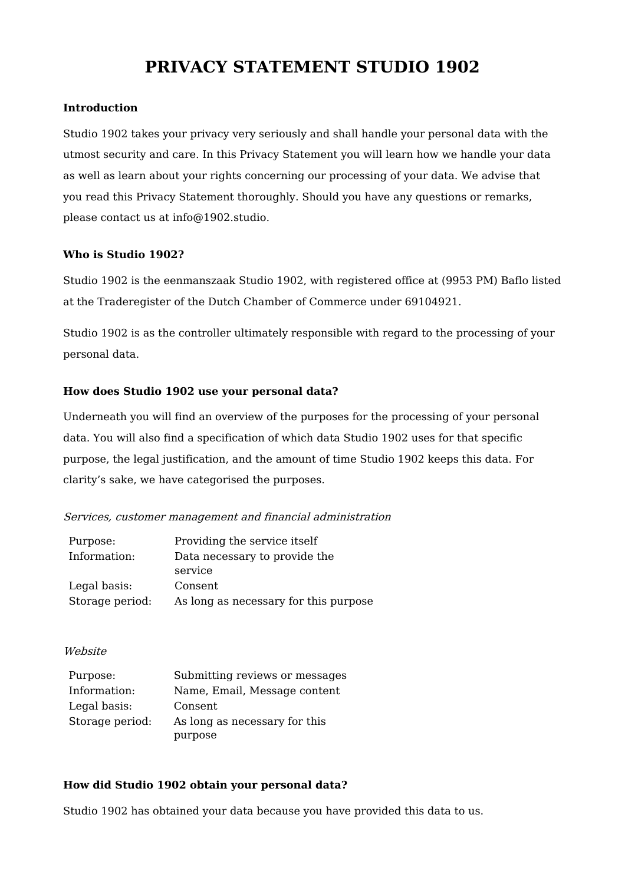# **PRIVACY STATEMENT STUDIO 1902**

# **Introduction**

Studio 1902 takes your privacy very seriously and shall handle your personal data with the utmost security and care. In this Privacy Statement you will learn how we handle your data as well as learn about your rights concerning our processing of your data. We advise that you read this Privacy Statement thoroughly. Should you have any questions or remarks, please contact us at info@1902.studio.

# **Who is Studio 1902?**

Studio 1902 is the eenmanszaak Studio 1902, with registered office at (9953 PM) Baflo listed at the Traderegister of the Dutch Chamber of Commerce under 69104921.

Studio 1902 is as the controller ultimately responsible with regard to the processing of your personal data.

# **How does Studio 1902 use your personal data?**

Underneath you will find an overview of the purposes for the processing of your personal data. You will also find a specification of which data Studio 1902 uses for that specific purpose, the legal justification, and the amount of time Studio 1902 keeps this data. For clarity's sake, we have categorised the purposes.

## Services, customer management and financial administration

| Purpose:        | Providing the service itself          |
|-----------------|---------------------------------------|
| Information:    | Data necessary to provide the         |
|                 | service                               |
| Legal basis:    | Consent                               |
| Storage period: | As long as necessary for this purpose |

## **Website**

| Purpose:        | Submitting reviews or messages |
|-----------------|--------------------------------|
| Information:    | Name, Email, Message content   |
| Legal basis:    | Consent                        |
| Storage period: | As long as necessary for this  |
|                 | purpose                        |

# **How did Studio 1902 obtain your personal data?**

Studio 1902 has obtained your data because you have provided this data to us.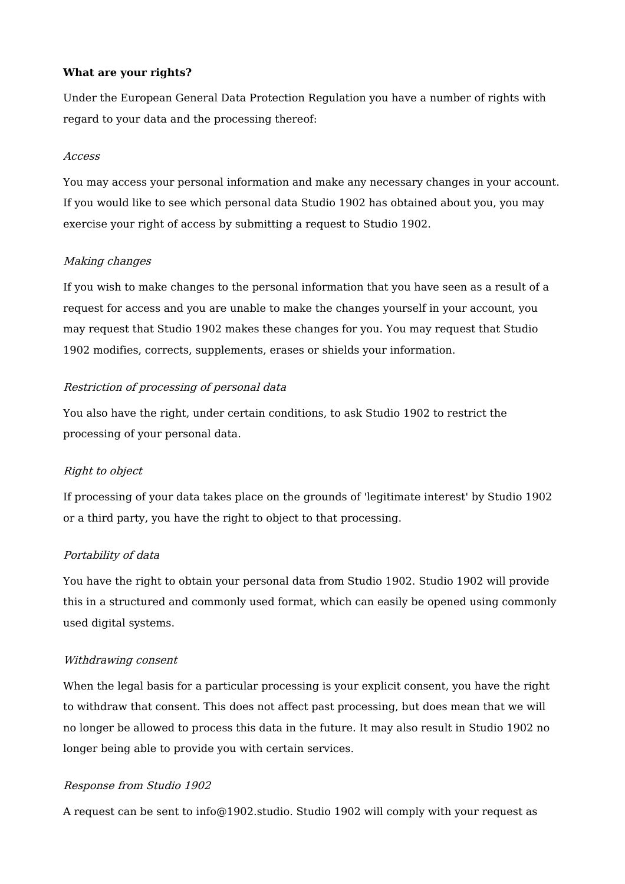### **What are your rights?**

Under the European General Data Protection Regulation you have a number of rights with regard to your data and the processing thereof:

#### Access

You may access your personal information and make any necessary changes in your account. If you would like to see which personal data Studio 1902 has obtained about you, you may exercise your right of access by submitting a request to Studio 1902.

#### Making changes

If you wish to make changes to the personal information that you have seen as a result of a request for access and you are unable to make the changes yourself in your account, you may request that Studio 1902 makes these changes for you. You may request that Studio 1902 modifies, corrects, supplements, erases or shields your information.

#### Restriction of processing of personal data

You also have the right, under certain conditions, to ask Studio 1902 to restrict the processing of your personal data.

## Right to object

If processing of your data takes place on the grounds of 'legitimate interest' by Studio 1902 or a third party, you have the right to object to that processing.

#### Portability of data

You have the right to obtain your personal data from Studio 1902. Studio 1902 will provide this in a structured and commonly used format, which can easily be opened using commonly used digital systems.

#### Withdrawing consent

When the legal basis for a particular processing is your explicit consent, you have the right to withdraw that consent. This does not affect past processing, but does mean that we will no longer be allowed to process this data in the future. It may also result in Studio 1902 no longer being able to provide you with certain services.

#### Response from Studio 1902

A request can be sent to info@1902.studio. Studio 1902 will comply with your request as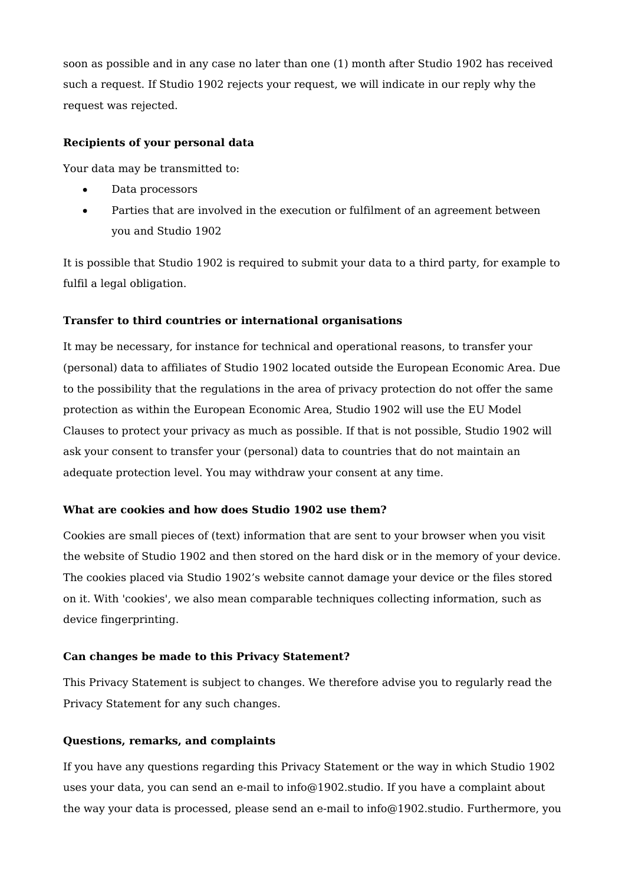soon as possible and in any case no later than one (1) month after Studio 1902 has received such a request. If Studio 1902 rejects your request, we will indicate in our reply why the request was rejected.

# **Recipients of your personal data**

Your data may be transmitted to:

- Data processors
- Parties that are involved in the execution or fulfilment of an agreement between  $\bullet$ you and Studio 1902

It is possible that Studio 1902 is required to submit your data to a third party, for example to fulfil a legal obligation.

# **Transfer to third countries or international organisations**

It may be necessary, for instance for technical and operational reasons, to transfer your (personal) data to affiliates of Studio 1902 located outside the European Economic Area. Due to the possibility that the regulations in the area of privacy protection do not offer the same protection as within the European Economic Area, Studio 1902 will use the EU Model Clauses to protect your privacy as much as possible. If that is not possible, Studio 1902 will ask your consent to transfer your (personal) data to countries that do not maintain an adequate protection level. You may withdraw your consent at any time.

## **What are cookies and how does Studio 1902 use them?**

Cookies are small pieces of (text) information that are sent to your browser when you visit the website of Studio 1902 and then stored on the hard disk or in the memory of your device. The cookies placed via Studio 1902's website cannot damage your device or the files stored on it. With 'cookies', we also mean comparable techniques collecting information, such as device fingerprinting.

## **Can changes be made to this Privacy Statement?**

This Privacy Statement is subject to changes. We therefore advise you to regularly read the Privacy Statement for any such changes.

# **Questions, remarks, and complaints**

If you have any questions regarding this Privacy Statement or the way in which Studio 1902 uses your data, you can send an e-mail to info@1902.studio. If you have a complaint about the way your data is processed, please send an e-mail to info@1902.studio. Furthermore, you